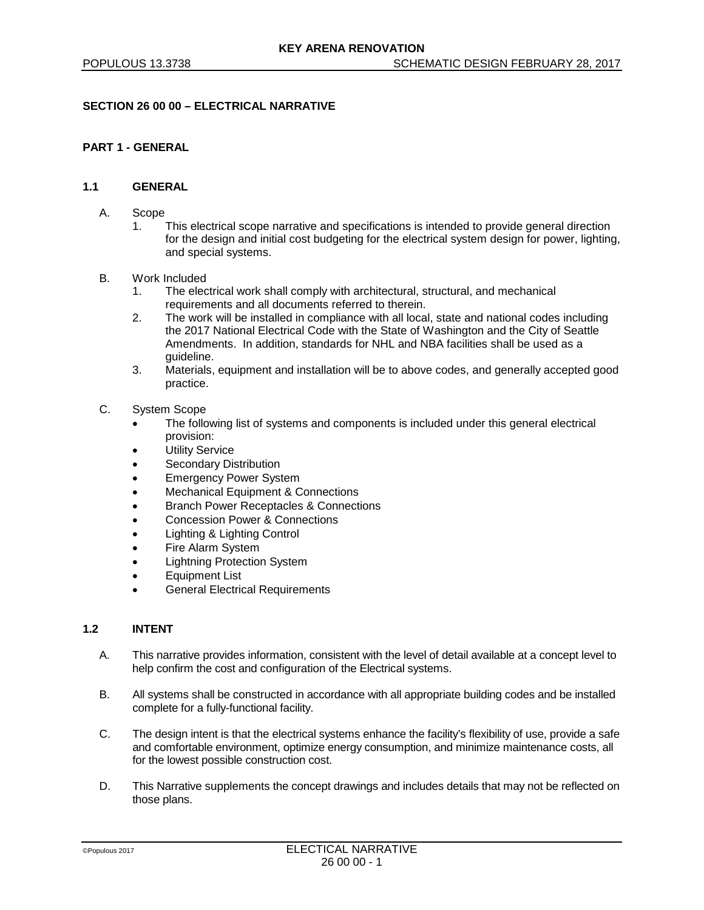# **SECTION 26 00 00 – ELECTRICAL NARRATIVE**

# **PART 1 - GENERAL**

## **1.1 GENERAL**

- A. Scope
	- 1. This electrical scope narrative and specifications is intended to provide general direction for the design and initial cost budgeting for the electrical system design for power, lighting, and special systems.
- B. Work Included
	- 1. The electrical work shall comply with architectural, structural, and mechanical requirements and all documents referred to therein.
	- 2. The work will be installed in compliance with all local, state and national codes including the 2017 National Electrical Code with the State of Washington and the City of Seattle Amendments. In addition, standards for NHL and NBA facilities shall be used as a guideline.
	- 3. Materials, equipment and installation will be to above codes, and generally accepted good practice.
- C. System Scope
	- The following list of systems and components is included under this general electrical provision:
	- **Utility Service**
	- Secondary Distribution
	- Emergency Power System
	- Mechanical Equipment & Connections
	- Branch Power Receptacles & Connections
	- Concession Power & Connections
	- Lighting & Lighting Control
	- Fire Alarm System
	- Lightning Protection System
	- Equipment List
	- **General Electrical Requirements**

## **1.2 INTENT**

- A. This narrative provides information, consistent with the level of detail available at a concept level to help confirm the cost and configuration of the Electrical systems.
- B. All systems shall be constructed in accordance with all appropriate building codes and be installed complete for a fully-functional facility.
- C. The design intent is that the electrical systems enhance the facility's flexibility of use, provide a safe and comfortable environment, optimize energy consumption, and minimize maintenance costs, all for the lowest possible construction cost.
- D. This Narrative supplements the concept drawings and includes details that may not be reflected on those plans.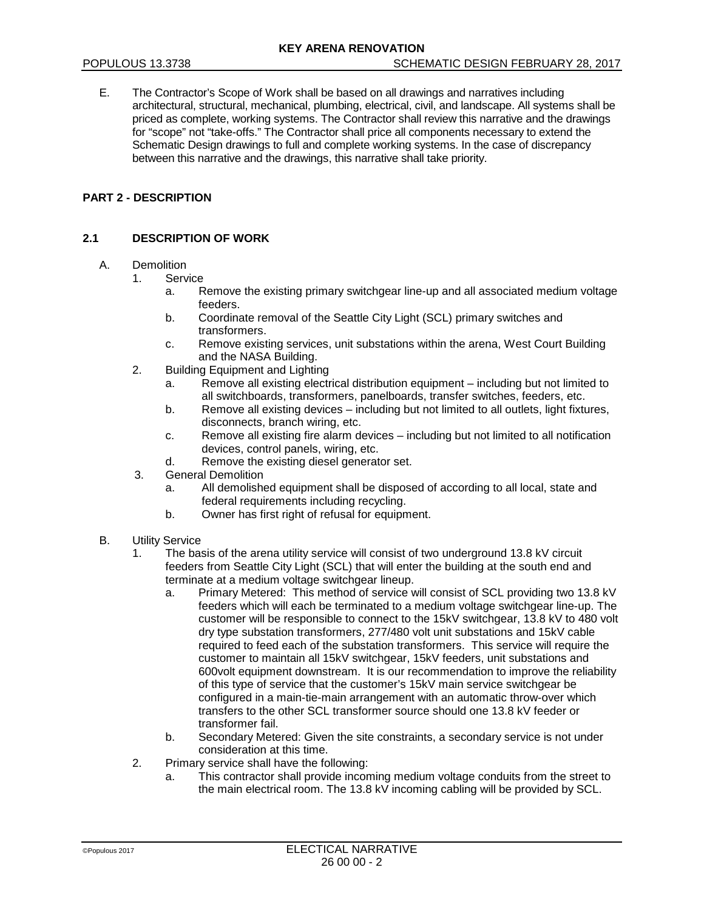E. The Contractor's Scope of Work shall be based on all drawings and narratives including architectural, structural, mechanical, plumbing, electrical, civil, and landscape. All systems shall be priced as complete, working systems. The Contractor shall review this narrative and the drawings for "scope" not "take-offs." The Contractor shall price all components necessary to extend the Schematic Design drawings to full and complete working systems. In the case of discrepancy between this narrative and the drawings, this narrative shall take priority.

# **PART 2 - DESCRIPTION**

# **2.1 DESCRIPTION OF WORK**

#### A. Demolition

- 1. Service
	- a. Remove the existing primary switchgear line-up and all associated medium voltage feeders.
	- b. Coordinate removal of the Seattle City Light (SCL) primary switches and transformers.
	- c. Remove existing services, unit substations within the arena, West Court Building and the NASA Building.
- 2. Building Equipment and Lighting
	- a. Remove all existing electrical distribution equipment including but not limited to all switchboards, transformers, panelboards, transfer switches, feeders, etc.
	- b. Remove all existing devices including but not limited to all outlets, light fixtures, disconnects, branch wiring, etc.
	- c. Remove all existing fire alarm devices including but not limited to all notification devices, control panels, wiring, etc.
	- d. Remove the existing diesel generator set.
- 3. General Demolition
	- a. All demolished equipment shall be disposed of according to all local, state and federal requirements including recycling.
	- b. Owner has first right of refusal for equipment.
- B. Utility Service
	- 1. The basis of the arena utility service will consist of two underground 13.8 kV circuit feeders from Seattle City Light (SCL) that will enter the building at the south end and terminate at a medium voltage switchgear lineup.
		- a. Primary Metered: This method of service will consist of SCL providing two 13.8 kV feeders which will each be terminated to a medium voltage switchgear line-up. The customer will be responsible to connect to the 15kV switchgear, 13.8 kV to 480 volt dry type substation transformers, 277/480 volt unit substations and 15kV cable required to feed each of the substation transformers. This service will require the customer to maintain all 15kV switchgear, 15kV feeders, unit substations and 600volt equipment downstream. It is our recommendation to improve the reliability of this type of service that the customer's 15kV main service switchgear be configured in a main-tie-main arrangement with an automatic throw-over which transfers to the other SCL transformer source should one 13.8 kV feeder or transformer fail.
		- b. Secondary Metered: Given the site constraints, a secondary service is not under consideration at this time.
	- 2. Primary service shall have the following:
		- a. This contractor shall provide incoming medium voltage conduits from the street to the main electrical room. The 13.8 kV incoming cabling will be provided by SCL.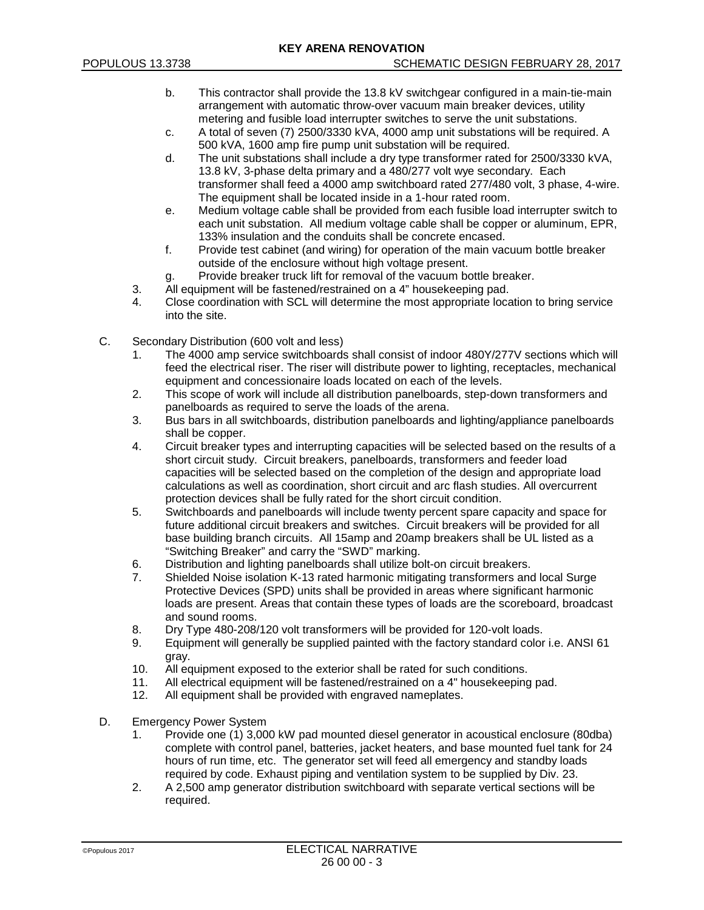- b. This contractor shall provide the 13.8 kV switchgear configured in a main-tie-main arrangement with automatic throw-over vacuum main breaker devices, utility metering and fusible load interrupter switches to serve the unit substations.
- c. A total of seven (7) 2500/3330 kVA, 4000 amp unit substations will be required. A 500 kVA, 1600 amp fire pump unit substation will be required.
- d. The unit substations shall include a dry type transformer rated for 2500/3330 kVA, 13.8 kV, 3-phase delta primary and a 480/277 volt wye secondary. Each transformer shall feed a 4000 amp switchboard rated 277/480 volt, 3 phase, 4-wire. The equipment shall be located inside in a 1-hour rated room.
- e. Medium voltage cable shall be provided from each fusible load interrupter switch to each unit substation. All medium voltage cable shall be copper or aluminum, EPR, 133% insulation and the conduits shall be concrete encased.
- f. Provide test cabinet (and wiring) for operation of the main vacuum bottle breaker outside of the enclosure without high voltage present.
- g. Provide breaker truck lift for removal of the vacuum bottle breaker.
- 3. All equipment will be fastened/restrained on a 4" housekeeping pad.<br>4. Close coordination with SCL will determine the most appropriate local
- 4. Close coordination with SCL will determine the most appropriate location to bring service into the site.
- C. Secondary Distribution (600 volt and less)
	- 1. The 4000 amp service switchboards shall consist of indoor 480Y/277V sections which will feed the electrical riser. The riser will distribute power to lighting, receptacles, mechanical equipment and concessionaire loads located on each of the levels.
	- 2. This scope of work will include all distribution panelboards, step-down transformers and panelboards as required to serve the loads of the arena.
	- 3. Bus bars in all switchboards, distribution panelboards and lighting/appliance panelboards shall be copper.
	- 4. Circuit breaker types and interrupting capacities will be selected based on the results of a short circuit study. Circuit breakers, panelboards, transformers and feeder load capacities will be selected based on the completion of the design and appropriate load calculations as well as coordination, short circuit and arc flash studies. All overcurrent protection devices shall be fully rated for the short circuit condition.
	- 5. Switchboards and panelboards will include twenty percent spare capacity and space for future additional circuit breakers and switches. Circuit breakers will be provided for all base building branch circuits. All 15amp and 20amp breakers shall be UL listed as a "Switching Breaker" and carry the "SWD" marking.
	- 6. Distribution and lighting panelboards shall utilize bolt-on circuit breakers.
	- 7. Shielded Noise isolation K-13 rated harmonic mitigating transformers and local Surge Protective Devices (SPD) units shall be provided in areas where significant harmonic loads are present. Areas that contain these types of loads are the scoreboard, broadcast and sound rooms.
	- 8. Dry Type 480-208/120 volt transformers will be provided for 120-volt loads.
	- 9. Equipment will generally be supplied painted with the factory standard color i.e. ANSI 61 gray.
	- 10. All equipment exposed to the exterior shall be rated for such conditions.
	- 11. All electrical equipment will be fastened/restrained on a 4" housekeeping pad.
	- 12. All equipment shall be provided with engraved nameplates.
- D. Emergency Power System
	- 1. Provide one (1) 3,000 kW pad mounted diesel generator in acoustical enclosure (80dba) complete with control panel, batteries, jacket heaters, and base mounted fuel tank for 24 hours of run time, etc. The generator set will feed all emergency and standby loads required by code. Exhaust piping and ventilation system to be supplied by Div. 23.
	- 2. A 2,500 amp generator distribution switchboard with separate vertical sections will be required.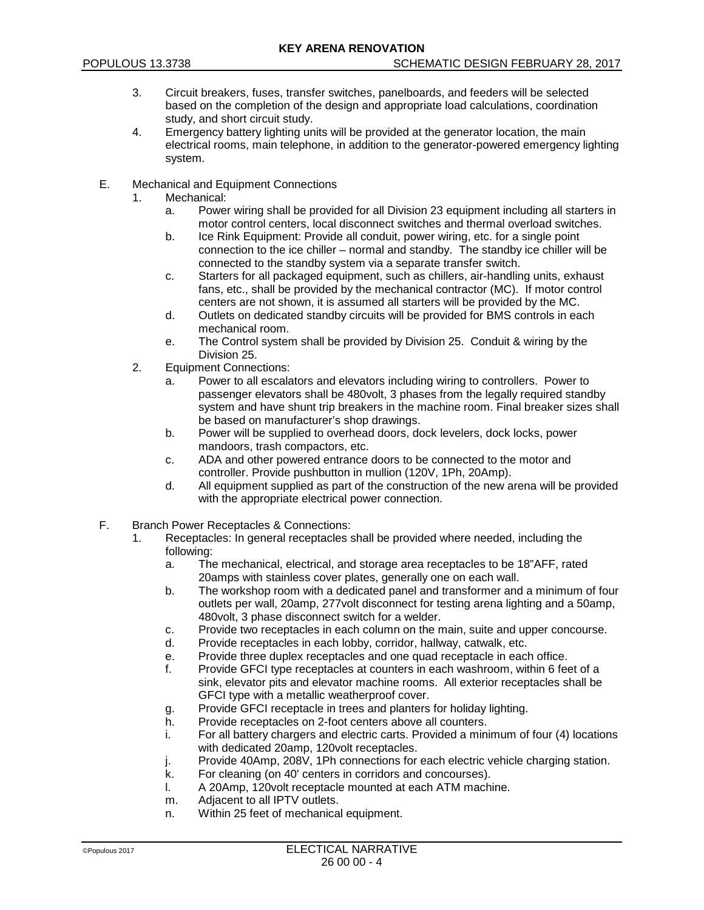- 3. Circuit breakers, fuses, transfer switches, panelboards, and feeders will be selected based on the completion of the design and appropriate load calculations, coordination study, and short circuit study.
- 4. Emergency battery lighting units will be provided at the generator location, the main electrical rooms, main telephone, in addition to the generator-powered emergency lighting system.
- E. Mechanical and Equipment Connections
	- 1. Mechanical:
		- a. Power wiring shall be provided for all Division 23 equipment including all starters in motor control centers, local disconnect switches and thermal overload switches.
		- b. Ice Rink Equipment: Provide all conduit, power wiring, etc. for a single point connection to the ice chiller – normal and standby. The standby ice chiller will be connected to the standby system via a separate transfer switch.
		- c. Starters for all packaged equipment, such as chillers, air-handling units, exhaust fans, etc., shall be provided by the mechanical contractor (MC). If motor control centers are not shown, it is assumed all starters will be provided by the MC.
		- d. Outlets on dedicated standby circuits will be provided for BMS controls in each mechanical room.
		- e. The Control system shall be provided by Division 25. Conduit & wiring by the Division 25.
	- 2. Equipment Connections:
		- a. Power to all escalators and elevators including wiring to controllers. Power to passenger elevators shall be 480volt, 3 phases from the legally required standby system and have shunt trip breakers in the machine room. Final breaker sizes shall be based on manufacturer's shop drawings.
		- b. Power will be supplied to overhead doors, dock levelers, dock locks, power mandoors, trash compactors, etc.
		- c. ADA and other powered entrance doors to be connected to the motor and controller. Provide pushbutton in mullion (120V, 1Ph, 20Amp).
		- d. All equipment supplied as part of the construction of the new arena will be provided with the appropriate electrical power connection.
- F. Branch Power Receptacles & Connections:
	- 1. Receptacles: In general receptacles shall be provided where needed, including the following:
		- a. The mechanical, electrical, and storage area receptacles to be 18"AFF, rated 20amps with stainless cover plates, generally one on each wall.
		- b. The workshop room with a dedicated panel and transformer and a minimum of four outlets per wall, 20amp, 277volt disconnect for testing arena lighting and a 50amp, 480volt, 3 phase disconnect switch for a welder.
		- c. Provide two receptacles in each column on the main, suite and upper concourse.
		- d. Provide receptacles in each lobby, corridor, hallway, catwalk, etc.
		- e. Provide three duplex receptacles and one quad receptacle in each office.<br>F. Provide GFCI type receptacles at counters in each washroom, within 6 fee
		- Provide GFCI type receptacles at counters in each washroom, within 6 feet of a sink, elevator pits and elevator machine rooms. All exterior receptacles shall be GFCI type with a metallic weatherproof cover.
		- g. Provide GFCI receptacle in trees and planters for holiday lighting.
		- h. Provide receptacles on 2-foot centers above all counters.
		- i. For all battery chargers and electric carts. Provided a minimum of four (4) locations with dedicated 20amp, 120volt receptacles.
		- j. Provide 40Amp, 208V, 1Ph connections for each electric vehicle charging station.
		- k. For cleaning (on 40' centers in corridors and concourses).
		- l. A 20Amp, 120volt receptacle mounted at each ATM machine.
		- m. Adjacent to all IPTV outlets.
		- n. Within 25 feet of mechanical equipment.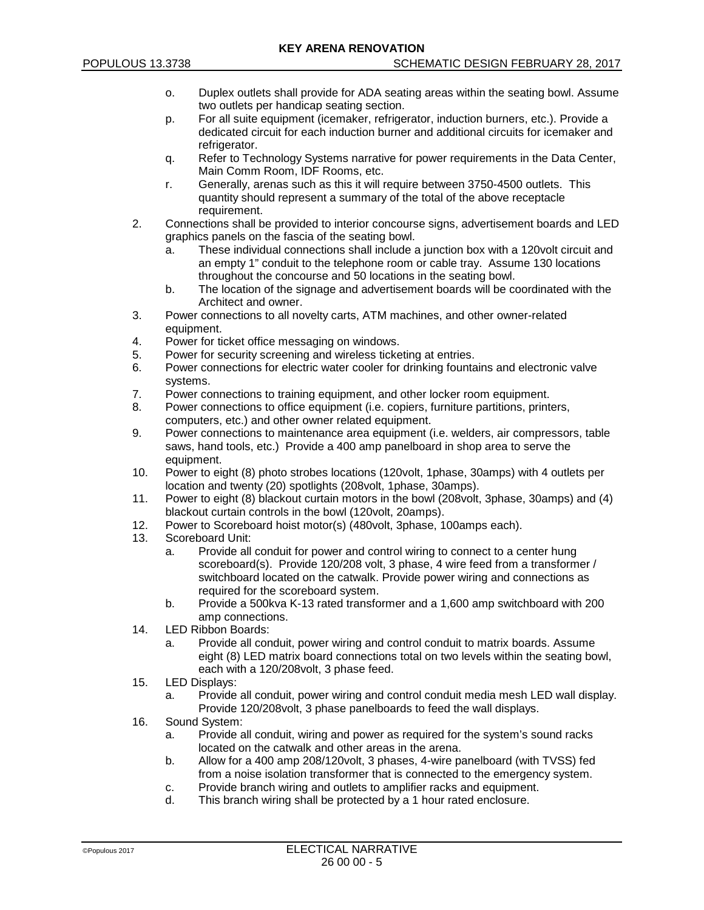- o. Duplex outlets shall provide for ADA seating areas within the seating bowl. Assume two outlets per handicap seating section.
- p. For all suite equipment (icemaker, refrigerator, induction burners, etc.). Provide a dedicated circuit for each induction burner and additional circuits for icemaker and refrigerator.
- q. Refer to Technology Systems narrative for power requirements in the Data Center, Main Comm Room, IDF Rooms, etc.
- r. Generally, arenas such as this it will require between 3750-4500 outlets. This quantity should represent a summary of the total of the above receptacle requirement.
- 2. Connections shall be provided to interior concourse signs, advertisement boards and LED graphics panels on the fascia of the seating bowl.
	- a. These individual connections shall include a junction box with a 120volt circuit and an empty 1" conduit to the telephone room or cable tray. Assume 130 locations throughout the concourse and 50 locations in the seating bowl.
	- b. The location of the signage and advertisement boards will be coordinated with the Architect and owner.
- 3. Power connections to all novelty carts, ATM machines, and other owner-related equipment.
- 4. Power for ticket office messaging on windows.
- 5. Power for security screening and wireless ticketing at entries.
- 6. Power connections for electric water cooler for drinking fountains and electronic valve systems.
- 7. Power connections to training equipment, and other locker room equipment.
- 8. Power connections to office equipment (i.e. copiers, furniture partitions, printers, computers, etc.) and other owner related equipment.
- 9. Power connections to maintenance area equipment (i.e. welders, air compressors, table saws, hand tools, etc.) Provide a 400 amp panelboard in shop area to serve the equipment.
- 10. Power to eight (8) photo strobes locations (120volt, 1phase, 30amps) with 4 outlets per location and twenty (20) spotlights (208volt, 1phase, 30amps).
- 11. Power to eight (8) blackout curtain motors in the bowl (208volt, 3phase, 30amps) and (4) blackout curtain controls in the bowl (120volt, 20amps).
- 12. Power to Scoreboard hoist motor(s) (480volt, 3phase, 100amps each).<br>13. Scoreboard Unit:
- Scoreboard Unit:
	- a. Provide all conduit for power and control wiring to connect to a center hung scoreboard(s). Provide 120/208 volt, 3 phase, 4 wire feed from a transformer / switchboard located on the catwalk. Provide power wiring and connections as required for the scoreboard system.
	- b. Provide a 500kva K-13 rated transformer and a 1,600 amp switchboard with 200 amp connections.
- 14. LED Ribbon Boards:
	- a. Provide all conduit, power wiring and control conduit to matrix boards. Assume eight (8) LED matrix board connections total on two levels within the seating bowl, each with a 120/208volt, 3 phase feed.
- 15. LED Displays:
	- a. Provide all conduit, power wiring and control conduit media mesh LED wall display. Provide 120/208volt, 3 phase panelboards to feed the wall displays.
- 16. Sound System:
	- a. Provide all conduit, wiring and power as required for the system's sound racks located on the catwalk and other areas in the arena.
	- b. Allow for a 400 amp 208/120volt, 3 phases, 4-wire panelboard (with TVSS) fed from a noise isolation transformer that is connected to the emergency system.
	- c. Provide branch wiring and outlets to amplifier racks and equipment.
	- d. This branch wiring shall be protected by a 1 hour rated enclosure.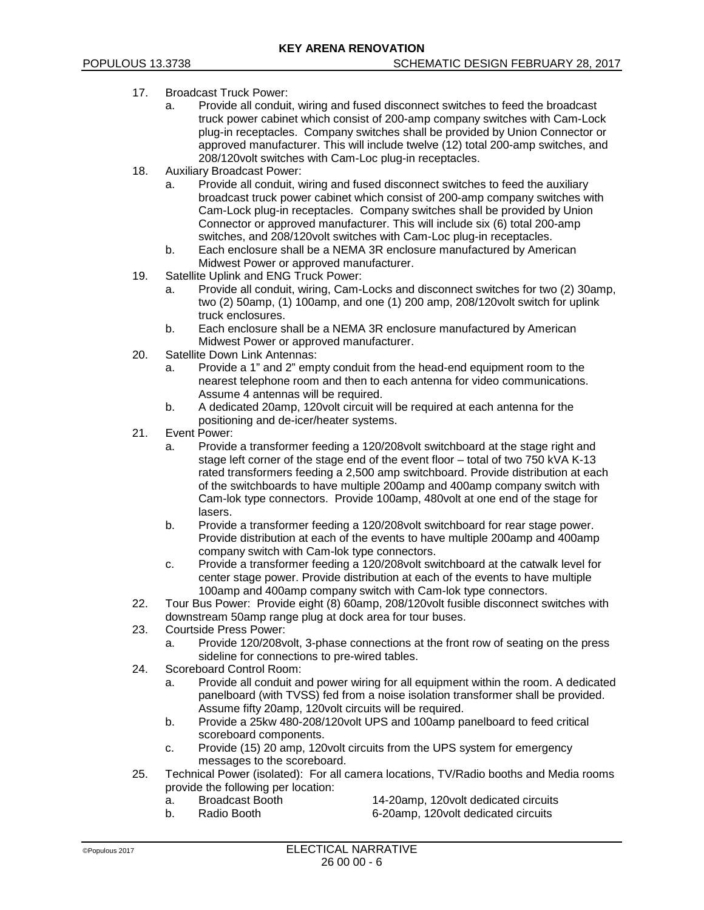- 17. Broadcast Truck Power:
	- a. Provide all conduit, wiring and fused disconnect switches to feed the broadcast truck power cabinet which consist of 200-amp company switches with Cam-Lock plug-in receptacles. Company switches shall be provided by Union Connector or approved manufacturer. This will include twelve (12) total 200-amp switches, and 208/120volt switches with Cam-Loc plug-in receptacles.
- 18. Auxiliary Broadcast Power:
	- a. Provide all conduit, wiring and fused disconnect switches to feed the auxiliary broadcast truck power cabinet which consist of 200-amp company switches with Cam-Lock plug-in receptacles. Company switches shall be provided by Union Connector or approved manufacturer. This will include six (6) total 200-amp switches, and 208/120volt switches with Cam-Loc plug-in receptacles.
	- b. Each enclosure shall be a NEMA 3R enclosure manufactured by American Midwest Power or approved manufacturer.
- 19. Satellite Uplink and ENG Truck Power:
	- a. Provide all conduit, wiring, Cam-Locks and disconnect switches for two (2) 30amp, two (2) 50amp, (1) 100amp, and one (1) 200 amp, 208/120volt switch for uplink truck enclosures.
	- b. Each enclosure shall be a NEMA 3R enclosure manufactured by American Midwest Power or approved manufacturer.
- 20. Satellite Down Link Antennas:
	- a. Provide a 1" and 2" empty conduit from the head-end equipment room to the nearest telephone room and then to each antenna for video communications. Assume 4 antennas will be required.
	- b. A dedicated 20amp, 120volt circuit will be required at each antenna for the positioning and de-icer/heater systems.
- 21. Event Power:
	- a. Provide a transformer feeding a 120/208volt switchboard at the stage right and stage left corner of the stage end of the event floor – total of two 750 kVA K-13 rated transformers feeding a 2,500 amp switchboard. Provide distribution at each of the switchboards to have multiple 200amp and 400amp company switch with Cam-lok type connectors. Provide 100amp, 480volt at one end of the stage for lasers.
	- b. Provide a transformer feeding a 120/208volt switchboard for rear stage power. Provide distribution at each of the events to have multiple 200amp and 400amp company switch with Cam-lok type connectors.
	- c. Provide a transformer feeding a 120/208volt switchboard at the catwalk level for center stage power. Provide distribution at each of the events to have multiple 100amp and 400amp company switch with Cam-lok type connectors.
- 22. Tour Bus Power: Provide eight (8) 60amp, 208/120volt fusible disconnect switches with downstream 50amp range plug at dock area for tour buses.
- 23. Courtside Press Power:
	- a. Provide 120/208volt, 3-phase connections at the front row of seating on the press sideline for connections to pre-wired tables.
- 24. Scoreboard Control Room:
	- a. Provide all conduit and power wiring for all equipment within the room. A dedicated panelboard (with TVSS) fed from a noise isolation transformer shall be provided. Assume fifty 20amp, 120volt circuits will be required.
	- b. Provide a 25kw 480-208/120volt UPS and 100amp panelboard to feed critical scoreboard components.
	- c. Provide (15) 20 amp, 120volt circuits from the UPS system for emergency messages to the scoreboard.
- 25. Technical Power (isolated): For all camera locations, TV/Radio booths and Media rooms provide the following per location:<br>a. Broadcast Booth
	- a. Broadcast Booth 14-20amp, 120volt dedicated circuits<br>b Radio Booth 6-20amp 120volt dedicated circuits
	-
	- b. Radio Booth 6-20amp, 120volt dedicated circuits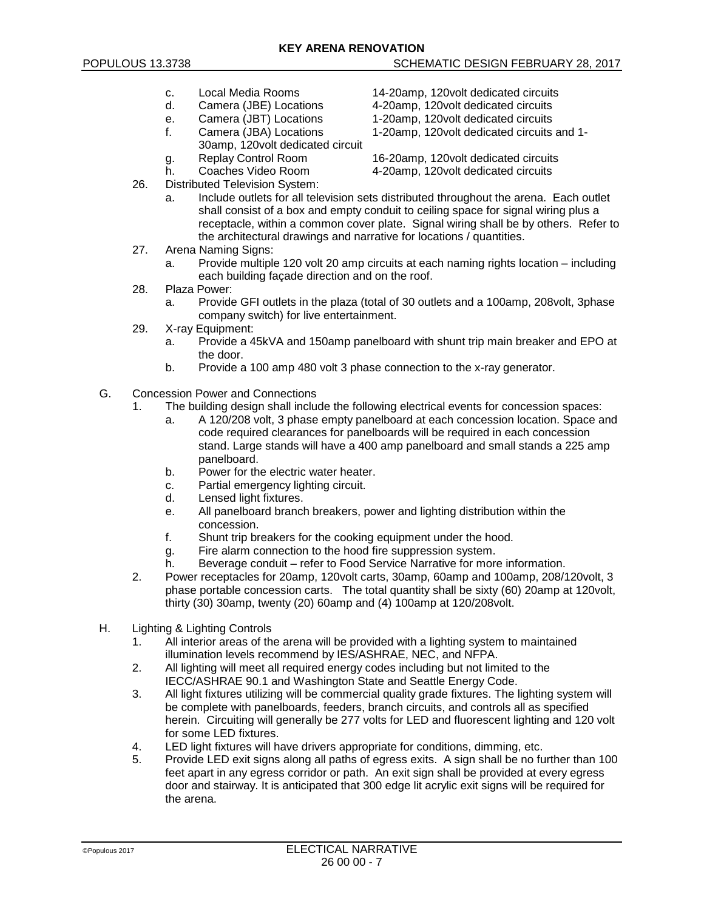- c. Local Media Rooms 14-20amp, 120volt dedicated circuits
- d. Camera (JBE) Locations 4-20amp, 120volt dedicated circuits
- 
- 
- 30amp, 120volt dedicated circuit
- 
- 26. Distributed Television System:
	- a. Include outlets for all television sets distributed throughout the arena. Each outlet shall consist of a box and empty conduit to ceiling space for signal wiring plus a receptacle, within a common cover plate. Signal wiring shall be by others. Refer to the architectural drawings and narrative for locations / quantities.
- 27. Arena Naming Signs:
	- a. Provide multiple 120 volt 20 amp circuits at each naming rights location including each building façade direction and on the roof.
- 28. Plaza Power:
	- a. Provide GFI outlets in the plaza (total of 30 outlets and a 100amp, 208volt, 3phase company switch) for live entertainment.
- 29. X-ray Equipment:
	- a. Provide a 45kVA and 150amp panelboard with shunt trip main breaker and EPO at the door.
	- b. Provide a 100 amp 480 volt 3 phase connection to the x-ray generator.
- G. Concession Power and Connections
	- 1. The building design shall include the following electrical events for concession spaces:
		- a. A 120/208 volt, 3 phase empty panelboard at each concession location. Space and code required clearances for panelboards will be required in each concession stand. Large stands will have a 400 amp panelboard and small stands a 225 amp panelboard.
		- b. Power for the electric water heater.
		- c. Partial emergency lighting circuit.
		- d. Lensed light fixtures.
		- e. All panelboard branch breakers, power and lighting distribution within the concession.
		- f. Shunt trip breakers for the cooking equipment under the hood.
		- g. Fire alarm connection to the hood fire suppression system.
		- h. Beverage conduit refer to Food Service Narrative for more information.
	- 2. Power receptacles for 20amp, 120volt carts, 30amp, 60amp and 100amp, 208/120volt, 3 phase portable concession carts. The total quantity shall be sixty (60) 20amp at 120volt, thirty (30) 30amp, twenty (20) 60amp and (4) 100amp at 120/208volt.
- H. Lighting & Lighting Controls
	- 1. All interior areas of the arena will be provided with a lighting system to maintained illumination levels recommend by IES/ASHRAE, NEC, and NFPA.
	- 2. All lighting will meet all required energy codes including but not limited to the IECC/ASHRAE 90.1 and Washington State and Seattle Energy Code.
	- 3. All light fixtures utilizing will be commercial quality grade fixtures. The lighting system will be complete with panelboards, feeders, branch circuits, and controls all as specified herein. Circuiting will generally be 277 volts for LED and fluorescent lighting and 120 volt for some LED fixtures.
	- 4. LED light fixtures will have drivers appropriate for conditions, dimming, etc.<br>5. Provide LED exit signs along all paths of egress exits. A sign shall be no fu
	- 5. Provide LED exit signs along all paths of egress exits. A sign shall be no further than 100 feet apart in any egress corridor or path. An exit sign shall be provided at every egress door and stairway. It is anticipated that 300 edge lit acrylic exit signs will be required for the arena.
- 
- e. Camera (JBT) Locations 1-20amp, 120volt dedicated circuits<br>f. Camera (JBA) Locations 1-20amp, 120volt dedicated circuits f. Camera (JBA) Locations 1-20amp, 120volt dedicated circuits and 1-

g. Replay Control Room 16-20amp, 120volt dedicated circuits<br>
h. Coaches Video Room 4-20amp, 120volt dedicated circuits h. Coaches Video Room 4-20amp, 120volt dedicated circuits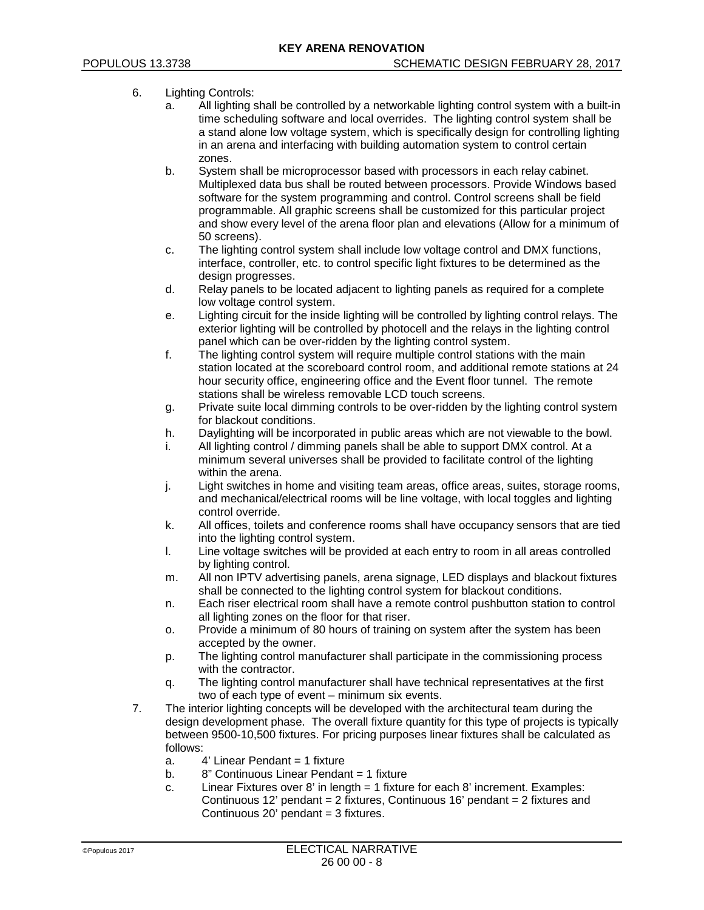# 6. Lighting Controls:

- a. All lighting shall be controlled by a networkable lighting control system with a built-in time scheduling software and local overrides. The lighting control system shall be a stand alone low voltage system, which is specifically design for controlling lighting in an arena and interfacing with building automation system to control certain zones.
- b. System shall be microprocessor based with processors in each relay cabinet. Multiplexed data bus shall be routed between processors. Provide Windows based software for the system programming and control. Control screens shall be field programmable. All graphic screens shall be customized for this particular project and show every level of the arena floor plan and elevations (Allow for a minimum of 50 screens).
- c. The lighting control system shall include low voltage control and DMX functions, interface, controller, etc. to control specific light fixtures to be determined as the design progresses.
- d. Relay panels to be located adjacent to lighting panels as required for a complete low voltage control system.
- e. Lighting circuit for the inside lighting will be controlled by lighting control relays. The exterior lighting will be controlled by photocell and the relays in the lighting control panel which can be over-ridden by the lighting control system.
- f. The lighting control system will require multiple control stations with the main station located at the scoreboard control room, and additional remote stations at 24 hour security office, engineering office and the Event floor tunnel. The remote stations shall be wireless removable LCD touch screens.
- g. Private suite local dimming controls to be over-ridden by the lighting control system for blackout conditions.
- h. Daylighting will be incorporated in public areas which are not viewable to the bowl.
- i. All lighting control / dimming panels shall be able to support DMX control. At a minimum several universes shall be provided to facilitate control of the lighting within the arena.
- j. Light switches in home and visiting team areas, office areas, suites, storage rooms, and mechanical/electrical rooms will be line voltage, with local toggles and lighting control override.
- k. All offices, toilets and conference rooms shall have occupancy sensors that are tied into the lighting control system.
- l. Line voltage switches will be provided at each entry to room in all areas controlled by lighting control.
- m. All non IPTV advertising panels, arena signage, LED displays and blackout fixtures shall be connected to the lighting control system for blackout conditions.
- n. Each riser electrical room shall have a remote control pushbutton station to control all lighting zones on the floor for that riser.
- o. Provide a minimum of 80 hours of training on system after the system has been accepted by the owner.
- p. The lighting control manufacturer shall participate in the commissioning process with the contractor.
- q. The lighting control manufacturer shall have technical representatives at the first two of each type of event – minimum six events.
- 7. The interior lighting concepts will be developed with the architectural team during the design development phase. The overall fixture quantity for this type of projects is typically between 9500-10,500 fixtures. For pricing purposes linear fixtures shall be calculated as follows:
	- a. 4' Linear Pendant = 1 fixture
	- b. 8" Continuous Linear Pendant = 1 fixture
	- c. Linear Fixtures over 8' in length = 1 fixture for each 8' increment. Examples: Continuous 12' pendant = 2 fixtures, Continuous 16' pendant = 2 fixtures and Continuous  $20'$  pendant = 3 fixtures.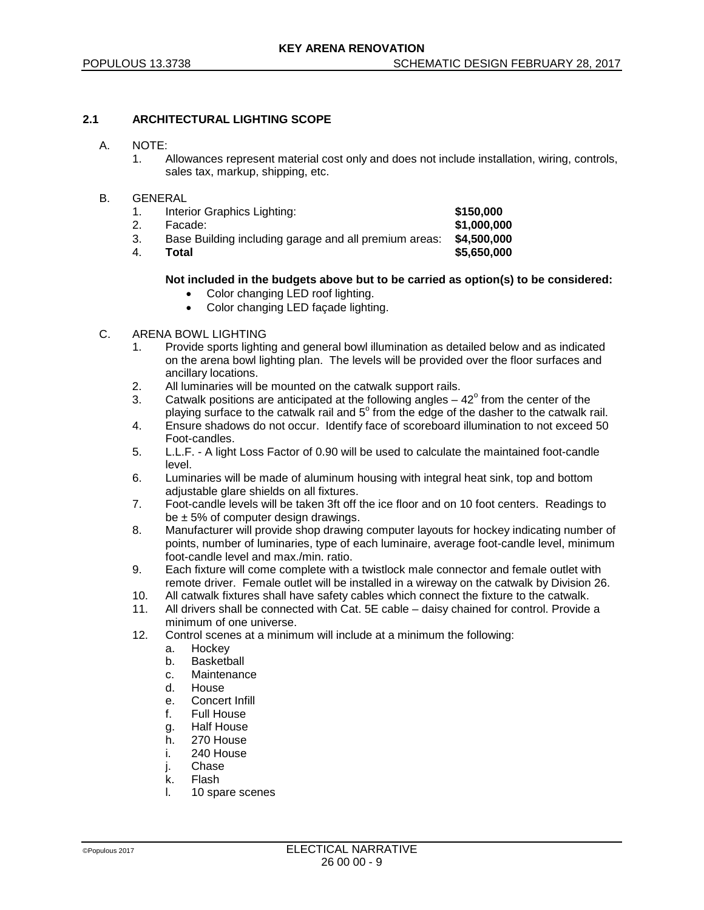# **2.1 ARCHITECTURAL LIGHTING SCOPE**

### A. NOTE:

1. Allowances represent material cost only and does not include installation, wiring, controls, sales tax, markup, shipping, etc.

### B. GENERAL

| 1 <sub>1</sub> | Interior Graphics Lighting:                           | \$150,000   |
|----------------|-------------------------------------------------------|-------------|
|                | Facade:                                               | \$1,000,000 |
| З.             | Base Building including garage and all premium areas: | \$4,500,000 |
| 4.             | Total                                                 | \$5,650,000 |

# **Not included in the budgets above but to be carried as option(s) to be considered:**

- Color changing LED roof lighting.
- Color changing LED façade lighting.

# C. ARENA BOWL LIGHTING

- 1. Provide sports lighting and general bowl illumination as detailed below and as indicated on the arena bowl lighting plan. The levels will be provided over the floor surfaces and ancillary locations.
- 2. All luminaries will be mounted on the catwalk support rails.
- 3. Catwalk positions are anticipated at the following angles  $-42^{\circ}$  from the center of the playing surface to the catwalk rail and  $5^\circ$  from the edge of the dasher to the catwalk rail.
- 4. Ensure shadows do not occur. Identify face of scoreboard illumination to not exceed 50 Foot-candles.
- 5. L.L.F. A light Loss Factor of 0.90 will be used to calculate the maintained foot-candle level.
- 6. Luminaries will be made of aluminum housing with integral heat sink, top and bottom adjustable glare shields on all fixtures.
- 7. Foot-candle levels will be taken 3ft off the ice floor and on 10 foot centers. Readings to be  $\pm$  5% of computer design drawings.
- 8. Manufacturer will provide shop drawing computer layouts for hockey indicating number of points, number of luminaries, type of each luminaire, average foot-candle level, minimum foot-candle level and max./min. ratio.
- 9. Each fixture will come complete with a twistlock male connector and female outlet with remote driver. Female outlet will be installed in a wireway on the catwalk by Division 26.
- 10. All catwalk fixtures shall have safety cables which connect the fixture to the catwalk.
- 11. All drivers shall be connected with Cat. 5E cable daisy chained for control. Provide a minimum of one universe.
- 12. Control scenes at a minimum will include at a minimum the following:
	- a. Hockey
	- b. Basketball
	- c. Maintenance
	- d. House
	- e. Concert Infill<br>f. Full House
	- Full House
	- g. Half House
	- h. 270 House
	- i. 240 House
	- j. Chase
	- k. Flash
	- l. 10 spare scenes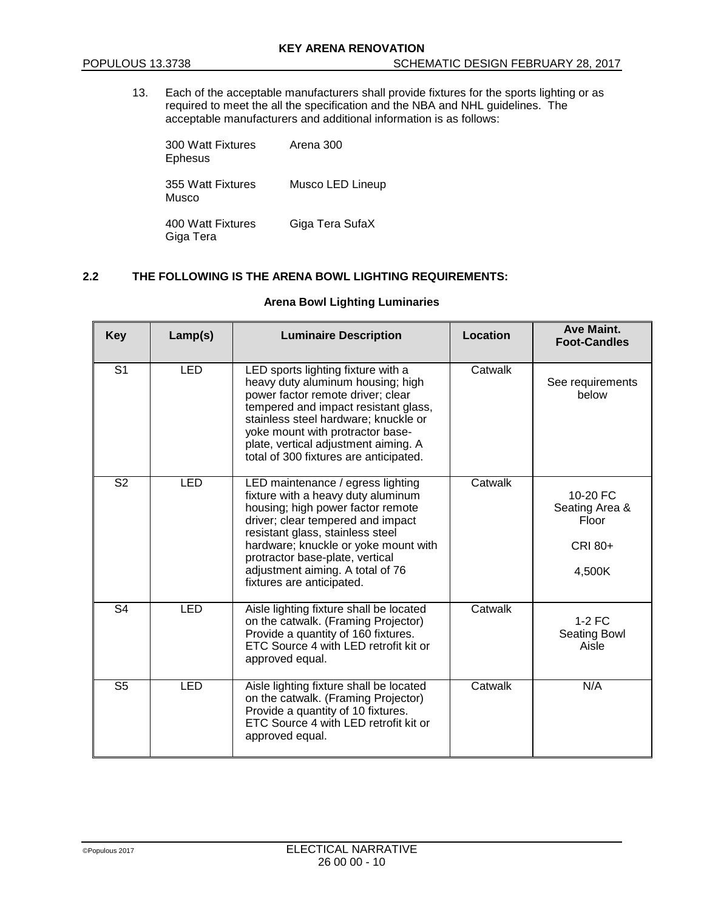13. Each of the acceptable manufacturers shall provide fixtures for the sports lighting or as required to meet the all the specification and the NBA and NHL guidelines. The acceptable manufacturers and additional information is as follows:

300 Watt Fixtures Arena 300 Ephesus

355 Watt Fixtures Musco LED Lineup Musco

400 Watt Fixtures Giga Tera SufaX Giga Tera

# **2.2 THE FOLLOWING IS THE ARENA BOWL LIGHTING REQUIREMENTS:**

# **Arena Bowl Lighting Luminaries**

| <b>Key</b>     | Lamp(s)    | <b>Luminaire Description</b>                                                                                                                                                                                                                                                                                                      | Location | <b>Ave Maint.</b><br><b>Foot-Candles</b>                 |
|----------------|------------|-----------------------------------------------------------------------------------------------------------------------------------------------------------------------------------------------------------------------------------------------------------------------------------------------------------------------------------|----------|----------------------------------------------------------|
| S <sub>1</sub> | <b>LED</b> | LED sports lighting fixture with a<br>heavy duty aluminum housing; high<br>power factor remote driver; clear<br>tempered and impact resistant glass,<br>stainless steel hardware; knuckle or<br>yoke mount with protractor base-<br>plate, vertical adjustment aiming. A<br>total of 300 fixtures are anticipated.                | Catwalk  | See requirements<br>below                                |
| S <sub>2</sub> | <b>LED</b> | LED maintenance / egress lighting<br>fixture with a heavy duty aluminum<br>housing; high power factor remote<br>driver; clear tempered and impact<br>resistant glass, stainless steel<br>hardware; knuckle or yoke mount with<br>protractor base-plate, vertical<br>adjustment aiming. A total of 76<br>fixtures are anticipated. | Catwalk  | 10-20 FC<br>Seating Area &<br>Floor<br>CRI 80+<br>4,500K |
| S <sub>4</sub> | <b>LED</b> | Aisle lighting fixture shall be located<br>on the catwalk. (Framing Projector)<br>Provide a quantity of 160 fixtures.<br>ETC Source 4 with LED retrofit kit or<br>approved equal.                                                                                                                                                 | Catwalk  | $1-2$ FC<br><b>Seating Bowl</b><br>Aisle                 |
| S <sub>5</sub> | <b>LED</b> | Aisle lighting fixture shall be located<br>on the catwalk. (Framing Projector)<br>Provide a quantity of 10 fixtures.<br>ETC Source 4 with LED retrofit kit or<br>approved equal.                                                                                                                                                  | Catwalk  | N/A                                                      |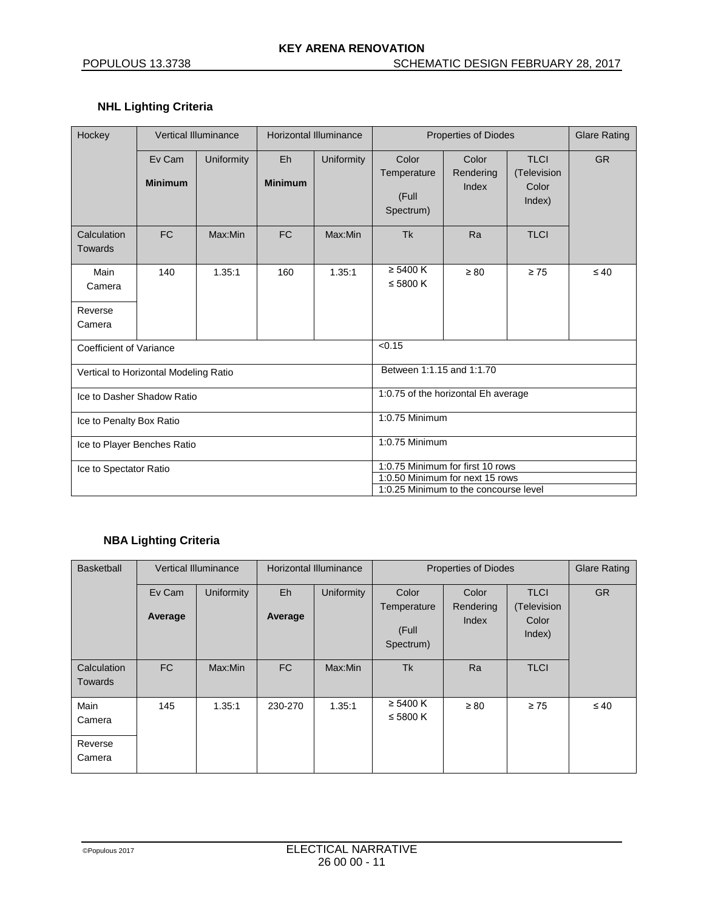# **NHL Lighting Criteria**

| Hockey                                |                          | <b>Vertical Illuminance</b> | <b>Horizontal Illuminance</b> |                                                                                                              | <b>Properties of Diodes</b>                |                             |                                               | <b>Glare Rating</b> |
|---------------------------------------|--------------------------|-----------------------------|-------------------------------|--------------------------------------------------------------------------------------------------------------|--------------------------------------------|-----------------------------|-----------------------------------------------|---------------------|
|                                       | Ev Cam<br><b>Minimum</b> | Uniformity                  | Eh<br><b>Minimum</b>          | Uniformity                                                                                                   | Color<br>Temperature<br>(Full<br>Spectrum) | Color<br>Rendering<br>Index | <b>TLCI</b><br>(Television<br>Color<br>Index) | <b>GR</b>           |
| Calculation<br><b>Towards</b>         | <b>FC</b>                | Max:Min                     | <b>FC</b>                     | Max:Min                                                                                                      | Tk                                         | Ra                          | <b>TLCI</b>                                   |                     |
| Main<br>Camera                        | 140                      | 1.35:1                      | 160                           | 1.35:1                                                                                                       | $\geq 5400 K$<br>$\leq$ 5800 K             | $\geq 80$                   | $\geq 75$                                     | $\leq 40$           |
| Reverse<br>Camera                     |                          |                             |                               |                                                                                                              |                                            |                             |                                               |                     |
| Coefficient of Variance               |                          |                             |                               | < 0.15                                                                                                       |                                            |                             |                                               |                     |
| Vertical to Horizontal Modeling Ratio |                          |                             |                               |                                                                                                              | Between 1:1.15 and 1:1.70                  |                             |                                               |                     |
| Ice to Dasher Shadow Ratio            |                          |                             |                               | 1:0.75 of the horizontal Eh average                                                                          |                                            |                             |                                               |                     |
| Ice to Penalty Box Ratio              |                          |                             |                               | 1:0.75 Minimum                                                                                               |                                            |                             |                                               |                     |
| Ice to Player Benches Ratio           |                          |                             |                               |                                                                                                              | 1:0.75 Minimum                             |                             |                                               |                     |
| Ice to Spectator Ratio                |                          |                             |                               | 1:0.75 Minimum for first 10 rows<br>1:0.50 Minimum for next 15 rows<br>1:0.25 Minimum to the concourse level |                                            |                             |                                               |                     |

# **NBA Lighting Criteria**

| Basketball                    |           | <b>Vertical Illuminance</b> | <b>Horizontal Illuminance</b> |                   | <b>Properties of Diodes</b>       |                    |                                | <b>Glare Rating</b> |
|-------------------------------|-----------|-----------------------------|-------------------------------|-------------------|-----------------------------------|--------------------|--------------------------------|---------------------|
|                               | Ev Cam    | <b>Uniformity</b>           | Eh                            | <b>Uniformity</b> | Color                             | Color              | <b>TLCI</b>                    | <b>GR</b>           |
|                               | Average   |                             | Average                       |                   | Temperature<br>(Full<br>Spectrum) | Rendering<br>Index | (Television<br>Color<br>Index) |                     |
| Calculation<br><b>Towards</b> | <b>FC</b> | Max:Min                     | FC                            | Max:Min           | <b>Tk</b>                         | Ra                 | <b>TLCI</b>                    |                     |
| Main<br>Camera                | 145       | 1.35:1                      | 230-270                       | 1.35:1            | $\geq 5400$ K<br>$\leq 5800$ K    | $\geq 80$          | $\geq 75$                      | $\leq 40$           |
| Reverse<br>Camera             |           |                             |                               |                   |                                   |                    |                                |                     |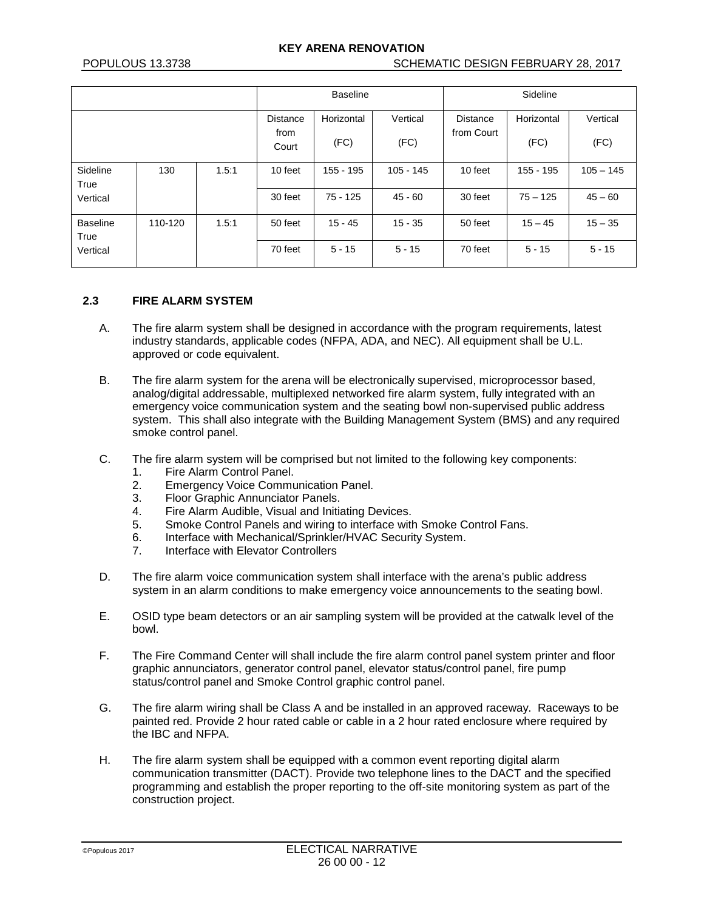# **KEY ARENA RENOVATION**

|                         |         |       | <b>Baseline</b> |            |           | Sideline        |            |             |
|-------------------------|---------|-------|-----------------|------------|-----------|-----------------|------------|-------------|
|                         |         |       | <b>Distance</b> | Horizontal | Vertical  | <b>Distance</b> | Horizontal | Vertical    |
|                         |         |       | from<br>Court   | (FC)       | (FC)      | from Court      | (FC)       | (FC)        |
| Sideline<br>True        | 130     | 1.5:1 | 10 feet         | 155 - 195  | 105 - 145 | 10 feet         | 155 - 195  | $105 - 145$ |
| Vertical                |         |       | 30 feet         | $75 - 125$ | $45 - 60$ | 30 feet         | $75 - 125$ | $45 - 60$   |
| <b>Baseline</b><br>True | 110-120 | 1.5:1 | 50 feet         | $15 - 45$  | $15 - 35$ | 50 feet         | $15 - 45$  | $15 - 35$   |
| Vertical                |         |       | 70 feet         | $5 - 15$   | $5 - 15$  | 70 feet         | $5 - 15$   | $5 - 15$    |

#### **2.3 FIRE ALARM SYSTEM**

- A. The fire alarm system shall be designed in accordance with the program requirements, latest industry standards, applicable codes (NFPA, ADA, and NEC). All equipment shall be U.L. approved or code equivalent.
- B. The fire alarm system for the arena will be electronically supervised, microprocessor based, analog/digital addressable, multiplexed networked fire alarm system, fully integrated with an emergency voice communication system and the seating bowl non-supervised public address system. This shall also integrate with the Building Management System (BMS) and any required smoke control panel.
- C. The fire alarm system will be comprised but not limited to the following key components:
	- 1. Fire Alarm Control Panel.
	- 2. Emergency Voice Communication Panel.
	- 3. Floor Graphic Annunciator Panels.<br>4. Fire Alarm Audible. Visual and Initia
	- Fire Alarm Audible, Visual and Initiating Devices.
	- 5. Smoke Control Panels and wiring to interface with Smoke Control Fans.<br>6. Interface with Mechanical/Sprinkler/HVAC Security System.
	- 6. Interface with Mechanical/Sprinkler/HVAC Security System.<br>7. Interface with Elevator Controllers
	- Interface with Elevator Controllers
- D. The fire alarm voice communication system shall interface with the arena's public address system in an alarm conditions to make emergency voice announcements to the seating bowl.
- E. OSID type beam detectors or an air sampling system will be provided at the catwalk level of the bowl.
- F. The Fire Command Center will shall include the fire alarm control panel system printer and floor graphic annunciators, generator control panel, elevator status/control panel, fire pump status/control panel and Smoke Control graphic control panel.
- G. The fire alarm wiring shall be Class A and be installed in an approved raceway. Raceways to be painted red. Provide 2 hour rated cable or cable in a 2 hour rated enclosure where required by the IBC and NFPA.
- H. The fire alarm system shall be equipped with a common event reporting digital alarm communication transmitter (DACT). Provide two telephone lines to the DACT and the specified programming and establish the proper reporting to the off-site monitoring system as part of the construction project.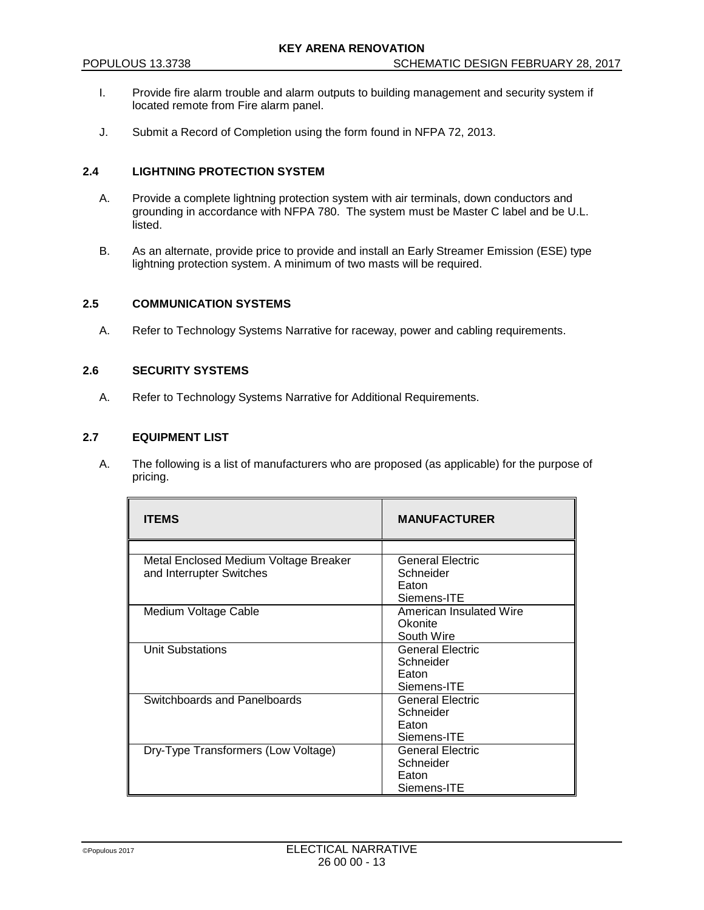- I. Provide fire alarm trouble and alarm outputs to building management and security system if located remote from Fire alarm panel.
- J. Submit a Record of Completion using the form found in NFPA 72, 2013.

# **2.4 LIGHTNING PROTECTION SYSTEM**

- A. Provide a complete lightning protection system with air terminals, down conductors and grounding in accordance with NFPA 780. The system must be Master C label and be U.L. listed.
- B. As an alternate, provide price to provide and install an Early Streamer Emission (ESE) type lightning protection system. A minimum of two masts will be required.

# **2.5 COMMUNICATION SYSTEMS**

A. Refer to Technology Systems Narrative for raceway, power and cabling requirements.

#### **2.6 SECURITY SYSTEMS**

A. Refer to Technology Systems Narrative for Additional Requirements.

#### **2.7 EQUIPMENT LIST**

A. The following is a list of manufacturers who are proposed (as applicable) for the purpose of pricing.

| <b>ITEMS</b>                          | <b>MANUFACTURER</b>     |
|---------------------------------------|-------------------------|
|                                       |                         |
| Metal Enclosed Medium Voltage Breaker | <b>General Electric</b> |
| and Interrupter Switches              | Schneider               |
|                                       | Eaton                   |
|                                       | Siemens-ITE             |
| Medium Voltage Cable                  | American Insulated Wire |
|                                       | Okonite                 |
|                                       | South Wire              |
| <b>Unit Substations</b>               | <b>General Electric</b> |
|                                       | Schneider               |
|                                       | Eaton                   |
|                                       | Siemens-ITE             |
| Switchboards and Panelboards          | <b>General Electric</b> |
|                                       | Schneider               |
|                                       | Eaton                   |
|                                       | Siemens-ITE             |
| Dry-Type Transformers (Low Voltage)   | <b>General Electric</b> |
|                                       | Schneider               |
|                                       | Faton                   |
|                                       | Siemens-ITE             |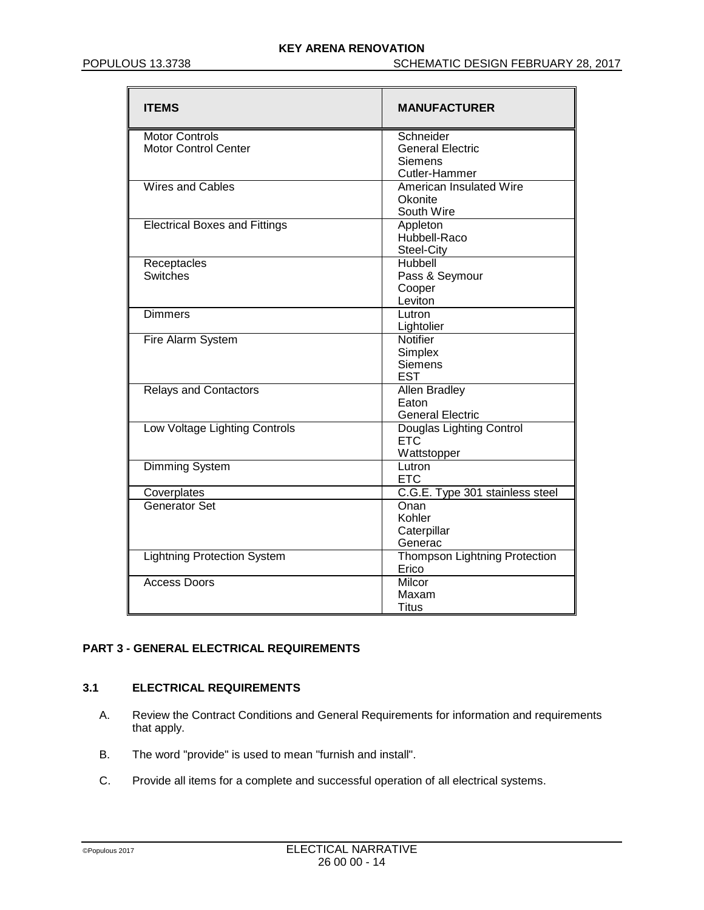| <b>ITEMS</b>                         | <b>MANUFACTURER</b>                    |
|--------------------------------------|----------------------------------------|
| <b>Motor Controls</b>                | Schneider                              |
| <b>Motor Control Center</b>          | <b>General Electric</b>                |
|                                      | <b>Siemens</b>                         |
|                                      | Cutler-Hammer                          |
| <b>Wires and Cables</b>              | American Insulated Wire                |
|                                      | Okonite                                |
|                                      | South Wire                             |
| <b>Electrical Boxes and Fittings</b> | Appleton                               |
|                                      | Hubbell-Raco                           |
|                                      | Steel-City                             |
| Receptacles                          | Hubbell                                |
| Switches                             | Pass & Seymour                         |
|                                      | Cooper                                 |
|                                      | Leviton                                |
| Dimmers                              | Lutron                                 |
|                                      | Lightolier                             |
| Fire Alarm System                    | Notifier                               |
|                                      | Simplex                                |
|                                      | <b>Siemens</b><br><b>EST</b>           |
|                                      |                                        |
| <b>Relays and Contactors</b>         | <b>Allen Bradley</b>                   |
|                                      | Eaton<br><b>General Electric</b>       |
|                                      |                                        |
| Low Voltage Lighting Controls        | Douglas Lighting Control<br><b>ETC</b> |
|                                      | Wattstopper                            |
| Dimming System                       | Lutron                                 |
|                                      | <b>ETC</b>                             |
| Coverplates                          | C.G.E. Type 301 stainless steel        |
| <b>Generator Set</b>                 | Onan                                   |
|                                      | Kohler                                 |
|                                      | Caterpillar                            |
|                                      | Generac                                |
| <b>Lightning Protection System</b>   | <b>Thompson Lightning Protection</b>   |
|                                      | Erico                                  |
| Access Doors                         | Milcor                                 |
|                                      | Maxam                                  |
|                                      | Titus                                  |

# **PART 3 - GENERAL ELECTRICAL REQUIREMENTS**

# **3.1 ELECTRICAL REQUIREMENTS**

- A. Review the Contract Conditions and General Requirements for information and requirements that apply.
- B. The word "provide" is used to mean "furnish and install".
- C. Provide all items for a complete and successful operation of all electrical systems.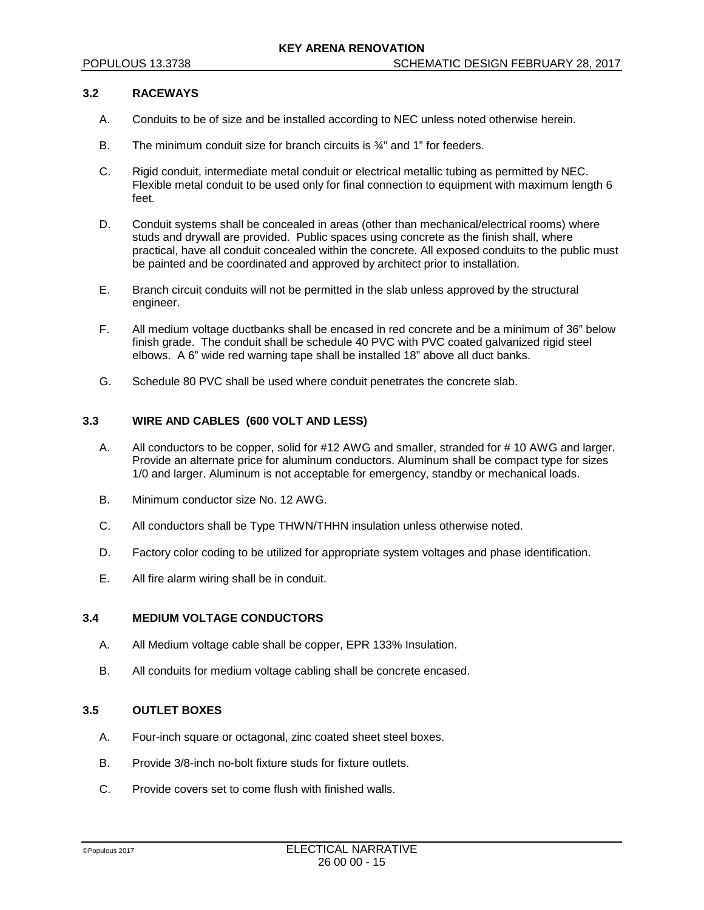### **3.2 RACEWAYS**

- A. Conduits to be of size and be installed according to NEC unless noted otherwise herein.
- B. The minimum conduit size for branch circuits is  $\frac{3}{4}$  and 1" for feeders.
- C. Rigid conduit, intermediate metal conduit or electrical metallic tubing as permitted by NEC. Flexible metal conduit to be used only for final connection to equipment with maximum length 6 feet.
- D. Conduit systems shall be concealed in areas (other than mechanical/electrical rooms) where studs and drywall are provided. Public spaces using concrete as the finish shall, where practical, have all conduit concealed within the concrete. All exposed conduits to the public must be painted and be coordinated and approved by architect prior to installation.
- E. Branch circuit conduits will not be permitted in the slab unless approved by the structural engineer.
- F. All medium voltage ductbanks shall be encased in red concrete and be a minimum of 36" below finish grade. The conduit shall be schedule 40 PVC with PVC coated galvanized rigid steel elbows. A 6" wide red warning tape shall be installed 18" above all duct banks.
- G. Schedule 80 PVC shall be used where conduit penetrates the concrete slab.

# **3.3 WIRE AND CABLES (600 VOLT AND LESS)**

- A. All conductors to be copper, solid for #12 AWG and smaller, stranded for # 10 AWG and larger. Provide an alternate price for aluminum conductors. Aluminum shall be compact type for sizes 1/0 and larger. Aluminum is not acceptable for emergency, standby or mechanical loads.
- B. Minimum conductor size No. 12 AWG.
- C. All conductors shall be Type THWN/THHN insulation unless otherwise noted.
- D. Factory color coding to be utilized for appropriate system voltages and phase identification.
- E. All fire alarm wiring shall be in conduit.

#### **3.4 MEDIUM VOLTAGE CONDUCTORS**

- A. All Medium voltage cable shall be copper, EPR 133% Insulation.
- B. All conduits for medium voltage cabling shall be concrete encased.

# **3.5 OUTLET BOXES**

- A. Four-inch square or octagonal, zinc coated sheet steel boxes.
- B. Provide 3/8-inch no-bolt fixture studs for fixture outlets.
- C. Provide covers set to come flush with finished walls.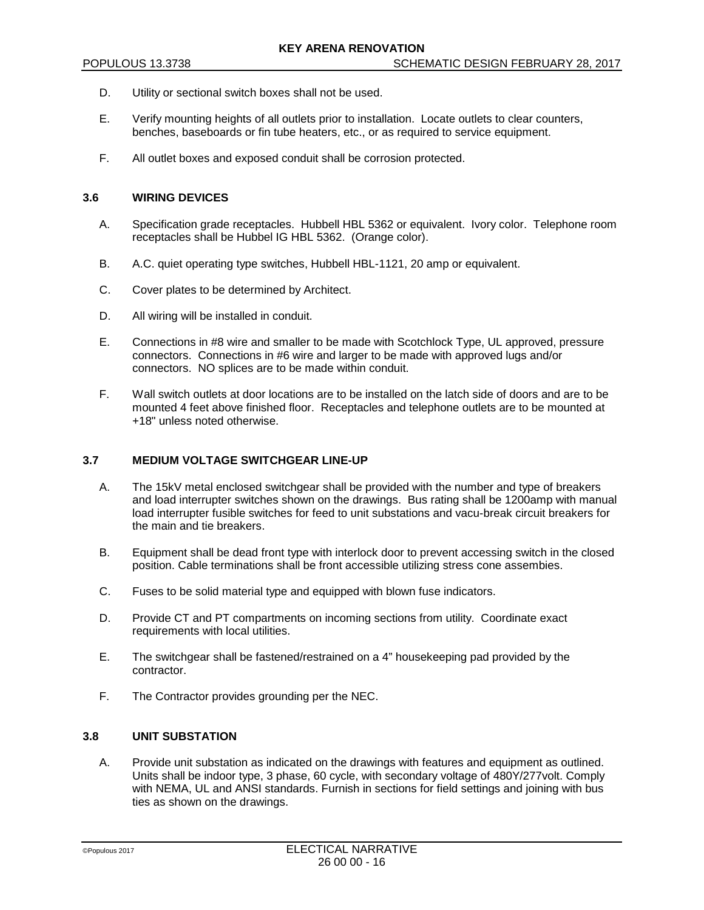- D. Utility or sectional switch boxes shall not be used.
- E. Verify mounting heights of all outlets prior to installation. Locate outlets to clear counters, benches, baseboards or fin tube heaters, etc., or as required to service equipment.
- F. All outlet boxes and exposed conduit shall be corrosion protected.

#### **3.6 WIRING DEVICES**

- A. Specification grade receptacles. Hubbell HBL 5362 or equivalent. Ivory color. Telephone room receptacles shall be Hubbel IG HBL 5362. (Orange color).
- B. A.C. quiet operating type switches, Hubbell HBL-1121, 20 amp or equivalent.
- C. Cover plates to be determined by Architect.
- D. All wiring will be installed in conduit.
- E. Connections in #8 wire and smaller to be made with Scotchlock Type, UL approved, pressure connectors. Connections in #6 wire and larger to be made with approved lugs and/or connectors. NO splices are to be made within conduit.
- F. Wall switch outlets at door locations are to be installed on the latch side of doors and are to be mounted 4 feet above finished floor. Receptacles and telephone outlets are to be mounted at +18" unless noted otherwise.

## **3.7 MEDIUM VOLTAGE SWITCHGEAR LINE-UP**

- A. The 15kV metal enclosed switchgear shall be provided with the number and type of breakers and load interrupter switches shown on the drawings. Bus rating shall be 1200amp with manual load interrupter fusible switches for feed to unit substations and vacu-break circuit breakers for the main and tie breakers.
- B. Equipment shall be dead front type with interlock door to prevent accessing switch in the closed position. Cable terminations shall be front accessible utilizing stress cone assembies.
- C. Fuses to be solid material type and equipped with blown fuse indicators.
- D. Provide CT and PT compartments on incoming sections from utility. Coordinate exact requirements with local utilities.
- E. The switchgear shall be fastened/restrained on a 4" housekeeping pad provided by the contractor.
- F. The Contractor provides grounding per the NEC.

# **3.8 UNIT SUBSTATION**

A. Provide unit substation as indicated on the drawings with features and equipment as outlined. Units shall be indoor type, 3 phase, 60 cycle, with secondary voltage of 480Y/277volt. Comply with NEMA, UL and ANSI standards. Furnish in sections for field settings and joining with bus ties as shown on the drawings.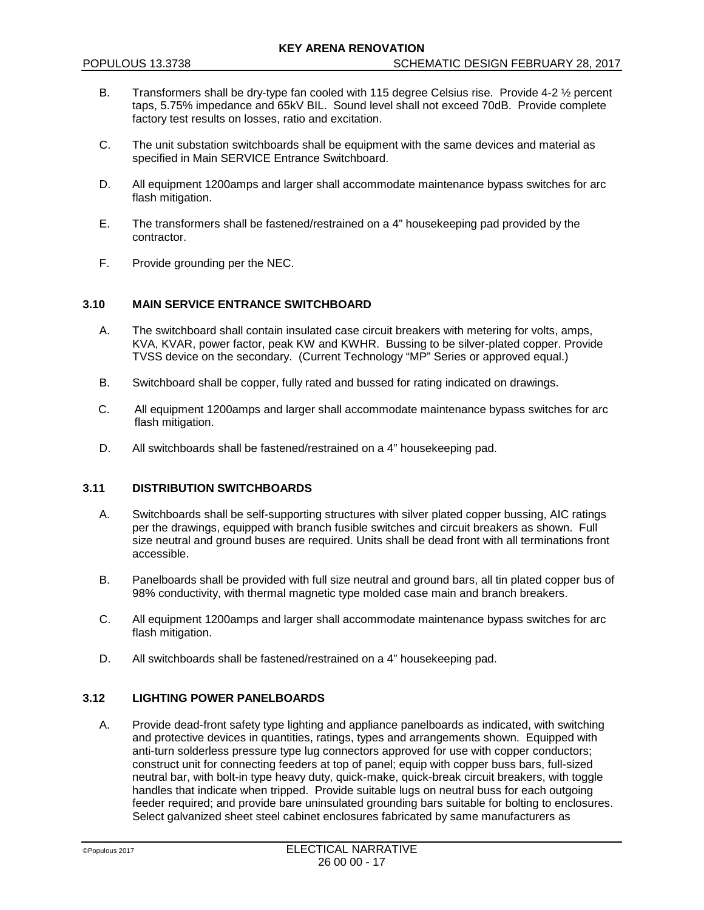- B. Transformers shall be dry-type fan cooled with 115 degree Celsius rise. Provide 4-2  $\frac{1}{2}$  percent taps, 5.75% impedance and 65kV BIL. Sound level shall not exceed 70dB. Provide complete factory test results on losses, ratio and excitation.
- C. The unit substation switchboards shall be equipment with the same devices and material as specified in Main SERVICE Entrance Switchboard.
- D. All equipment 1200amps and larger shall accommodate maintenance bypass switches for arc flash mitigation.
- E. The transformers shall be fastened/restrained on a 4" housekeeping pad provided by the contractor.
- F. Provide grounding per the NEC.

# **3.10 MAIN SERVICE ENTRANCE SWITCHBOARD**

- A. The switchboard shall contain insulated case circuit breakers with metering for volts, amps, KVA, KVAR, power factor, peak KW and KWHR. Bussing to be silver-plated copper. Provide TVSS device on the secondary. (Current Technology "MP" Series or approved equal.)
- B. Switchboard shall be copper, fully rated and bussed for rating indicated on drawings.
- C. All equipment 1200amps and larger shall accommodate maintenance bypass switches for arc flash mitigation.
- D. All switchboards shall be fastened/restrained on a 4" housekeeping pad.

## **3.11 DISTRIBUTION SWITCHBOARDS**

- A. Switchboards shall be self-supporting structures with silver plated copper bussing, AIC ratings per the drawings, equipped with branch fusible switches and circuit breakers as shown. Full size neutral and ground buses are required. Units shall be dead front with all terminations front accessible.
- B. Panelboards shall be provided with full size neutral and ground bars, all tin plated copper bus of 98% conductivity, with thermal magnetic type molded case main and branch breakers.
- C. All equipment 1200amps and larger shall accommodate maintenance bypass switches for arc flash mitigation.
- D. All switchboards shall be fastened/restrained on a 4" housekeeping pad.

# **3.12 LIGHTING POWER PANELBOARDS**

A. Provide dead-front safety type lighting and appliance panelboards as indicated, with switching and protective devices in quantities, ratings, types and arrangements shown. Equipped with anti-turn solderless pressure type lug connectors approved for use with copper conductors; construct unit for connecting feeders at top of panel; equip with copper buss bars, full-sized neutral bar, with bolt-in type heavy duty, quick-make, quick-break circuit breakers, with toggle handles that indicate when tripped. Provide suitable lugs on neutral buss for each outgoing feeder required; and provide bare uninsulated grounding bars suitable for bolting to enclosures. Select galvanized sheet steel cabinet enclosures fabricated by same manufacturers as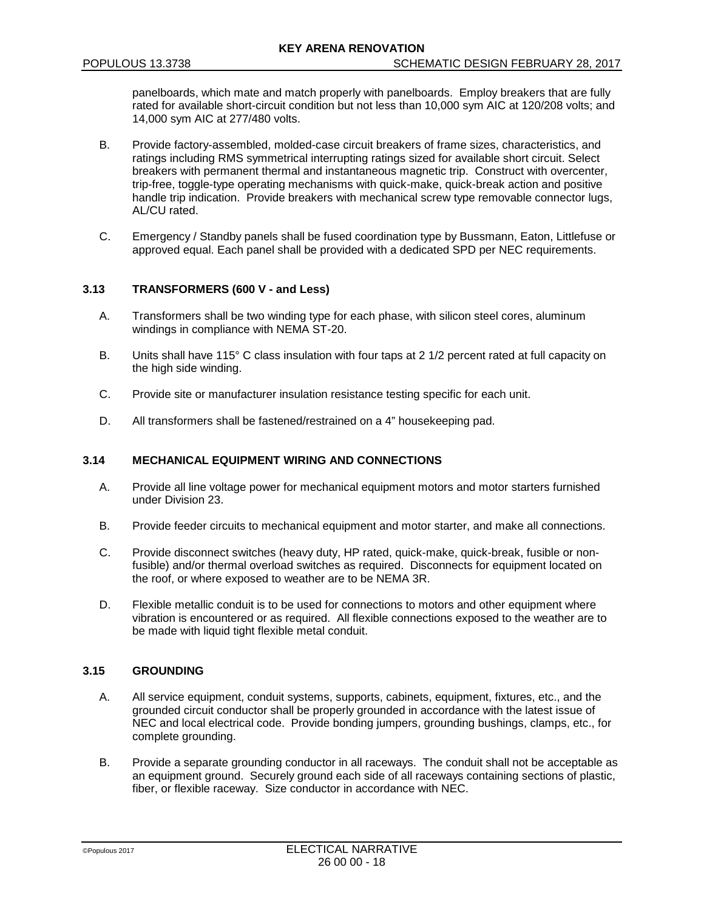panelboards, which mate and match properly with panelboards. Employ breakers that are fully rated for available short-circuit condition but not less than 10,000 sym AIC at 120/208 volts; and 14,000 sym AIC at 277/480 volts.

- B. Provide factory-assembled, molded-case circuit breakers of frame sizes, characteristics, and ratings including RMS symmetrical interrupting ratings sized for available short circuit. Select breakers with permanent thermal and instantaneous magnetic trip. Construct with overcenter, trip-free, toggle-type operating mechanisms with quick-make, quick-break action and positive handle trip indication. Provide breakers with mechanical screw type removable connector lugs, AL/CU rated.
- C. Emergency / Standby panels shall be fused coordination type by Bussmann, Eaton, Littlefuse or approved equal. Each panel shall be provided with a dedicated SPD per NEC requirements.

# **3.13 TRANSFORMERS (600 V - and Less)**

- A. Transformers shall be two winding type for each phase, with silicon steel cores, aluminum windings in compliance with NEMA ST-20.
- B. Units shall have 115° C class insulation with four taps at 2 1/2 percent rated at full capacity on the high side winding.
- C. Provide site or manufacturer insulation resistance testing specific for each unit.
- D. All transformers shall be fastened/restrained on a 4" housekeeping pad.

# **3.14 MECHANICAL EQUIPMENT WIRING AND CONNECTIONS**

- A. Provide all line voltage power for mechanical equipment motors and motor starters furnished under Division 23.
- B. Provide feeder circuits to mechanical equipment and motor starter, and make all connections.
- C. Provide disconnect switches (heavy duty, HP rated, quick-make, quick-break, fusible or nonfusible) and/or thermal overload switches as required. Disconnects for equipment located on the roof, or where exposed to weather are to be NEMA 3R.
- D. Flexible metallic conduit is to be used for connections to motors and other equipment where vibration is encountered or as required. All flexible connections exposed to the weather are to be made with liquid tight flexible metal conduit.

### **3.15 GROUNDING**

- A. All service equipment, conduit systems, supports, cabinets, equipment, fixtures, etc., and the grounded circuit conductor shall be properly grounded in accordance with the latest issue of NEC and local electrical code. Provide bonding jumpers, grounding bushings, clamps, etc., for complete grounding.
- B. Provide a separate grounding conductor in all raceways. The conduit shall not be acceptable as an equipment ground. Securely ground each side of all raceways containing sections of plastic, fiber, or flexible raceway. Size conductor in accordance with NEC.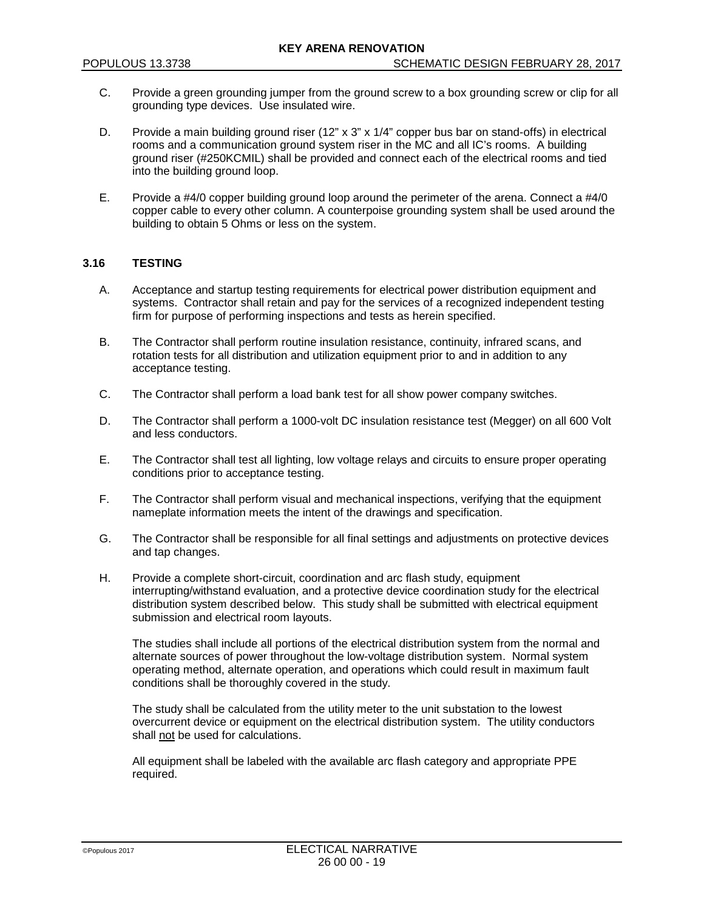- C. Provide a green grounding jumper from the ground screw to a box grounding screw or clip for all grounding type devices. Use insulated wire.
- D. Provide a main building ground riser (12" x 3" x 1/4" copper bus bar on stand-offs) in electrical rooms and a communication ground system riser in the MC and all IC's rooms. A building ground riser (#250KCMIL) shall be provided and connect each of the electrical rooms and tied into the building ground loop.
- E. Provide a #4/0 copper building ground loop around the perimeter of the arena. Connect a #4/0 copper cable to every other column. A counterpoise grounding system shall be used around the building to obtain 5 Ohms or less on the system.

#### **3.16 TESTING**

- A. Acceptance and startup testing requirements for electrical power distribution equipment and systems. Contractor shall retain and pay for the services of a recognized independent testing firm for purpose of performing inspections and tests as herein specified.
- B. The Contractor shall perform routine insulation resistance, continuity, infrared scans, and rotation tests for all distribution and utilization equipment prior to and in addition to any acceptance testing.
- C. The Contractor shall perform a load bank test for all show power company switches.
- D. The Contractor shall perform a 1000-volt DC insulation resistance test (Megger) on all 600 Volt and less conductors.
- E. The Contractor shall test all lighting, low voltage relays and circuits to ensure proper operating conditions prior to acceptance testing.
- F. The Contractor shall perform visual and mechanical inspections, verifying that the equipment nameplate information meets the intent of the drawings and specification.
- G. The Contractor shall be responsible for all final settings and adjustments on protective devices and tap changes.
- H. Provide a complete short-circuit, coordination and arc flash study, equipment interrupting/withstand evaluation, and a protective device coordination study for the electrical distribution system described below. This study shall be submitted with electrical equipment submission and electrical room layouts.

The studies shall include all portions of the electrical distribution system from the normal and alternate sources of power throughout the low-voltage distribution system. Normal system operating method, alternate operation, and operations which could result in maximum fault conditions shall be thoroughly covered in the study.

The study shall be calculated from the utility meter to the unit substation to the lowest overcurrent device or equipment on the electrical distribution system. The utility conductors shall not be used for calculations.

All equipment shall be labeled with the available arc flash category and appropriate PPE required.